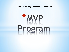*The Perdido Key Chamber of Commerce*

# \*MYP Program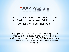

## \*MYP Program

Perdido Key Chamber of Commerce is excited to offer a new MVP Program exclusively to our members.

The purpose of the Member Value Partner Program is to provide an exclusive discount rate on quality goods and services to Chamber Members. The MVP Program will help build increased visibility and loyalty between Chamber Members.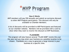

## \*MVP Program

**How It Works**

MVP members will pay \$50 annually and submit an exclusive discount to other MVP Program participants. This discount will only be available to Chamber Members.

A list of discounts will be provided to MVP Participants and featured on our chamber website. Members will be provided with a card to show when they want to receive the discount at MVP Businesses.

#### **FLASHMOBS**

The program will also feature several "FLASH MOB" events thru out the year and you may enter your business as a possible location to be chosen. FlashMobs are a way to generate a large interest in your business at a specific time.